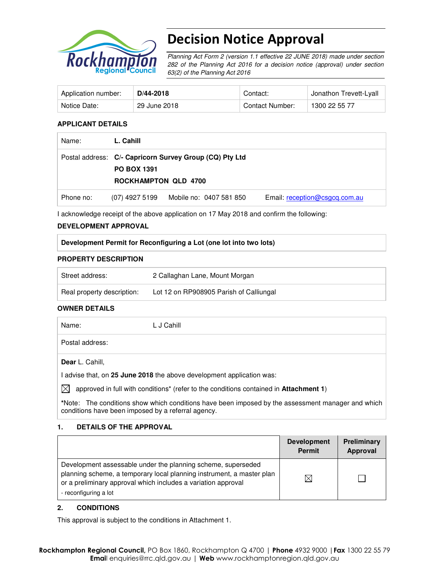

# Decision Notice Approval

Planning Act Form 2 (version 1.1 effective 22 JUNE 2018) made under section 282 of the Planning Act 2016 for a decision notice (approval) under section 63(2) of the Planning Act 2016

| Application number: | $D/44 - 2018$ | Contact:        | ∪ Jonathon Trevett-Lyall |
|---------------------|---------------|-----------------|--------------------------|
| Notice Date:        | 29 June 2018  | Contact Number: | 1300 22 55 77            |

# **APPLICANT DETAILS**

| Name:     | L. Cahill                                         |                                                         |                               |
|-----------|---------------------------------------------------|---------------------------------------------------------|-------------------------------|
|           | <b>PO BOX 1391</b><br><b>ROCKHAMPTON QLD 4700</b> | Postal address: C/- Capricorn Survey Group (CQ) Pty Ltd |                               |
| Phone no: | (07) 4927 5199                                    | Mobile no: 0407 581 850                                 | Email: reception@csgcq.com.au |

I acknowledge receipt of the above application on 17 May 2018 and confirm the following:

# **DEVELOPMENT APPROVAL**

# **Development Permit for Reconfiguring a Lot (one lot into two lots)**

# **PROPERTY DESCRIPTION**

| Street address:            | 2 Callaghan Lane, Mount Morgan          |
|----------------------------|-----------------------------------------|
| Real property description: | Lot 12 on RP908905 Parish of Calliungal |

#### **OWNER DETAILS**

| Name:           | L J Cahill |
|-----------------|------------|
| Postal address: |            |
| Dear L. Cahill, |            |

I advise that, on **25 June 2018** the above development application was:

 $\boxtimes$  approved in full with conditions<sup>\*</sup> (refer to the conditions contained in **Attachment 1**)

**\***Note:The conditions show which conditions have been imposed by the assessment manager and which conditions have been imposed by a referral agency.

# **1. DETAILS OF THE APPROVAL**

|                                                                                                                                                                                                                                 | <b>Development</b><br><b>Permit</b> | <b>Preliminary</b><br>Approval |
|---------------------------------------------------------------------------------------------------------------------------------------------------------------------------------------------------------------------------------|-------------------------------------|--------------------------------|
| Development assessable under the planning scheme, superseded<br>planning scheme, a temporary local planning instrument, a master plan<br>or a preliminary approval which includes a variation approval<br>- reconfiguring a lot |                                     |                                |

# **2. CONDITIONS**

This approval is subject to the conditions in Attachment 1.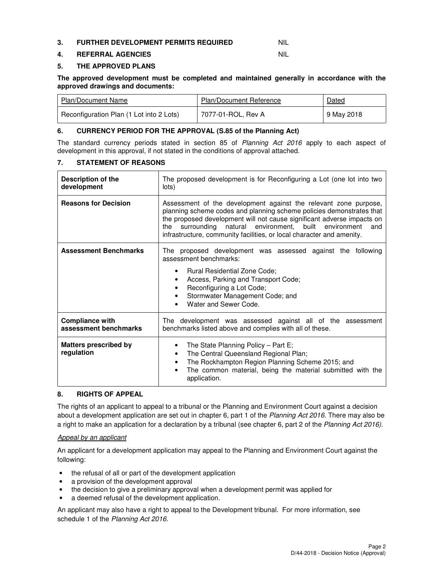#### **3. FURTHER DEVELOPMENT PERMITS REQUIRED NIL**

# **4. REFERRAL AGENCIES** NIL

#### **5. THE APPROVED PLANS**

**The approved development must be completed and maintained generally in accordance with the approved drawings and documents:** 

| Plan/Document Name                       | Plan/Document Reference | Dated      |
|------------------------------------------|-------------------------|------------|
| Reconfiguration Plan (1 Lot into 2 Lots) | 7077-01-ROL, Rev A      | 9 May 2018 |

#### **6. CURRENCY PERIOD FOR THE APPROVAL (S.85 of the Planning Act)**

The standard currency periods stated in section 85 of Planning Act 2016 apply to each aspect of development in this approval, if not stated in the conditions of approval attached.

#### **7. STATEMENT OF REASONS**

| <b>Description of the</b><br>development        | The proposed development is for Reconfiguring a Lot (one lot into two<br>lots)                                                                                                                                                                                                                                                                               |  |  |
|-------------------------------------------------|--------------------------------------------------------------------------------------------------------------------------------------------------------------------------------------------------------------------------------------------------------------------------------------------------------------------------------------------------------------|--|--|
| <b>Reasons for Decision</b>                     | Assessment of the development against the relevant zone purpose,<br>planning scheme codes and planning scheme policies demonstrates that<br>the proposed development will not cause significant adverse impacts on<br>the surrounding natural environment, built environment<br>and<br>infrastructure, community facilities, or local character and amenity. |  |  |
| <b>Assessment Benchmarks</b>                    | The proposed development was assessed against the following<br>assessment benchmarks:<br>Rural Residential Zone Code;<br>$\bullet$<br>Access, Parking and Transport Code;<br>٠<br>Reconfiguring a Lot Code;<br>٠<br>Stormwater Management Code; and<br>Water and Sewer Code.                                                                                 |  |  |
| <b>Compliance with</b><br>assessment benchmarks | The development was assessed against all of the assessment<br>benchmarks listed above and complies with all of these.                                                                                                                                                                                                                                        |  |  |
| <b>Matters prescribed by</b><br>regulation      | The State Planning Policy - Part E;<br>٠<br>The Central Queensland Regional Plan;<br>٠<br>The Rockhampton Region Planning Scheme 2015; and<br>٠<br>The common material, being the material submitted with the<br>application.                                                                                                                                |  |  |

# **8. RIGHTS OF APPEAL**

The rights of an applicant to appeal to a tribunal or the Planning and Environment Court against a decision about a development application are set out in chapter 6, part 1 of the Planning Act 2016. There may also be a right to make an application for a declaration by a tribunal (see chapter 6, part 2 of the Planning Act 2016).

#### Appeal by an applicant

An applicant for a development application may appeal to the Planning and Environment Court against the following:

- the refusal of all or part of the development application
- a provision of the development approval
- the decision to give a preliminary approval when a development permit was applied for
- a deemed refusal of the development application.

An applicant may also have a right to appeal to the Development tribunal. For more information, see schedule 1 of the Planning Act 2016.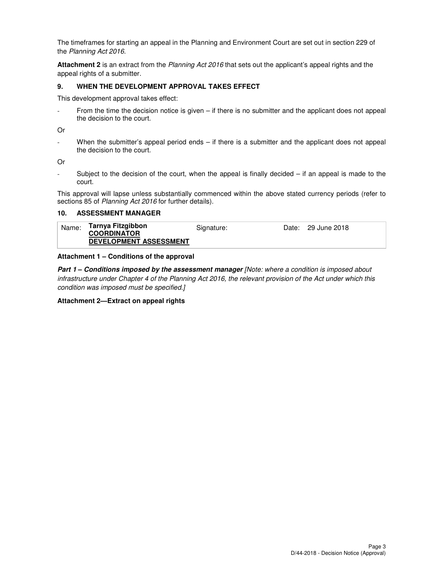The timeframes for starting an appeal in the Planning and Environment Court are set out in section 229 of the Planning Act 2016.

**Attachment 2** is an extract from the Planning Act 2016 that sets out the applicant's appeal rights and the appeal rights of a submitter.

#### **9. WHEN THE DEVELOPMENT APPROVAL TAKES EFFECT**

This development approval takes effect:

From the time the decision notice is given  $-$  if there is no submitter and the applicant does not appeal the decision to the court.

Or

- When the submitter's appeal period ends – if there is a submitter and the applicant does not appeal the decision to the court.

Or

- Subject to the decision of the court, when the appeal is finally decided – if an appeal is made to the court.

This approval will lapse unless substantially commenced within the above stated currency periods (refer to sections 85 of Planning Act 2016 for further details).

#### **10. ASSESSMENT MANAGER**

| Name: | Tarnya Fitzgibbon             | Signature: | Date: 29 June 2018 |
|-------|-------------------------------|------------|--------------------|
|       | <b>COORDINATOR</b>            |            |                    |
|       | <b>DEVELOPMENT ASSESSMENT</b> |            |                    |

#### **Attachment 1 – Conditions of the approval**

**Part 1 – Conditions imposed by the assessment manager** [Note: where a condition is imposed about infrastructure under Chapter 4 of the Planning Act 2016, the relevant provision of the Act under which this condition was imposed must be specified.]

#### **Attachment 2—Extract on appeal rights**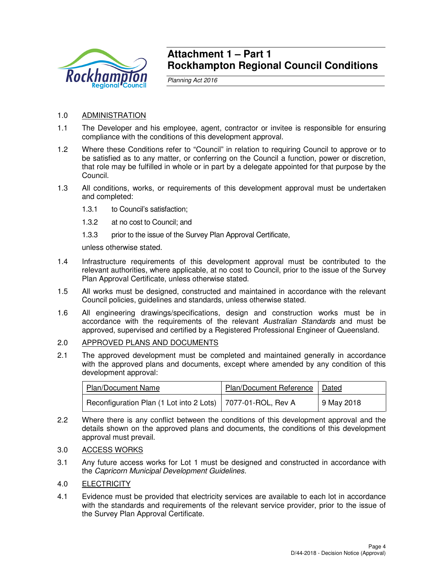

# **Attachment 1 – Part 1 Rockhampton Regional Council Conditions**

Planning Act 2016

# 1.0 ADMINISTRATION

- 1.1 The Developer and his employee, agent, contractor or invitee is responsible for ensuring compliance with the conditions of this development approval.
- 1.2 Where these Conditions refer to "Council" in relation to requiring Council to approve or to be satisfied as to any matter, or conferring on the Council a function, power or discretion, that role may be fulfilled in whole or in part by a delegate appointed for that purpose by the Council.
- 1.3 All conditions, works, or requirements of this development approval must be undertaken and completed:
	- 1.3.1 to Council's satisfaction;
	- 1.3.2 at no cost to Council; and
	- 1.3.3 prior to the issue of the Survey Plan Approval Certificate,

unless otherwise stated.

- 1.4 Infrastructure requirements of this development approval must be contributed to the relevant authorities, where applicable, at no cost to Council, prior to the issue of the Survey Plan Approval Certificate, unless otherwise stated.
- 1.5 All works must be designed, constructed and maintained in accordance with the relevant Council policies, guidelines and standards, unless otherwise stated.
- 1.6 All engineering drawings/specifications, design and construction works must be in accordance with the requirements of the relevant Australian Standards and must be approved, supervised and certified by a Registered Professional Engineer of Queensland.

# 2.0 APPROVED PLANS AND DOCUMENTS

2.1 The approved development must be completed and maintained generally in accordance with the approved plans and documents, except where amended by any condition of this development approval:

| <b>Plan/Document Name</b>                                     | <b>Plan/Document Reference</b> | Dated      |
|---------------------------------------------------------------|--------------------------------|------------|
| Reconfiguration Plan (1 Lot into 2 Lots)   7077-01-ROL, Rev A |                                | 9 May 2018 |

- 2.2 Where there is any conflict between the conditions of this development approval and the details shown on the approved plans and documents, the conditions of this development approval must prevail.
- 3.0 ACCESS WORKS
- 3.1 Any future access works for Lot 1 must be designed and constructed in accordance with the Capricorn Municipal Development Guidelines.
- 4.0 ELECTRICITY
- 4.1 Evidence must be provided that electricity services are available to each lot in accordance with the standards and requirements of the relevant service provider, prior to the issue of the Survey Plan Approval Certificate.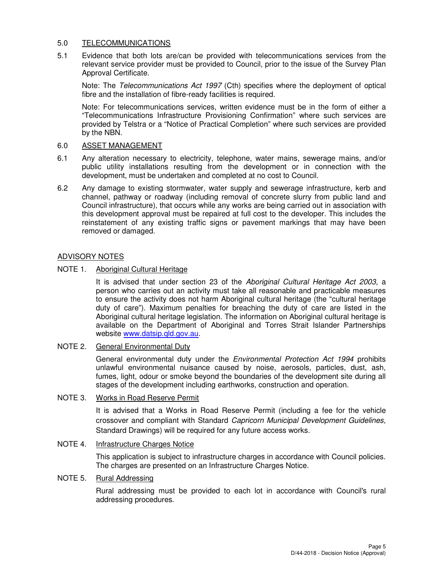# 5.0 TELECOMMUNICATIONS

5.1 Evidence that both lots are/can be provided with telecommunications services from the relevant service provider must be provided to Council, prior to the issue of the Survey Plan Approval Certificate.

Note: The Telecommunications Act 1997 (Cth) specifies where the deployment of optical fibre and the installation of fibre-ready facilities is required.

Note: For telecommunications services, written evidence must be in the form of either a "Telecommunications Infrastructure Provisioning Confirmation" where such services are provided by Telstra or a "Notice of Practical Completion" where such services are provided by the NBN.

# 6.0 ASSET MANAGEMENT

- 6.1 Any alteration necessary to electricity, telephone, water mains, sewerage mains, and/or public utility installations resulting from the development or in connection with the development, must be undertaken and completed at no cost to Council.
- 6.2 Any damage to existing stormwater, water supply and sewerage infrastructure, kerb and channel, pathway or roadway (including removal of concrete slurry from public land and Council infrastructure), that occurs while any works are being carried out in association with this development approval must be repaired at full cost to the developer. This includes the reinstatement of any existing traffic signs or pavement markings that may have been removed or damaged.

# ADVISORY NOTES

# NOTE 1. Aboriginal Cultural Heritage

It is advised that under section 23 of the Aboriginal Cultural Heritage Act 2003, a person who carries out an activity must take all reasonable and practicable measures to ensure the activity does not harm Aboriginal cultural heritage (the "cultural heritage duty of care"). Maximum penalties for breaching the duty of care are listed in the Aboriginal cultural heritage legislation. The information on Aboriginal cultural heritage is available on the Department of Aboriginal and Torres Strait Islander Partnerships website www.datsip.qld.gov.au.

# NOTE 2. General Environmental Duty

General environmental duty under the *Environmental Protection Act 1994* prohibits unlawful environmental nuisance caused by noise, aerosols, particles, dust, ash, fumes, light, odour or smoke beyond the boundaries of the development site during all stages of the development including earthworks, construction and operation.

# NOTE 3. Works in Road Reserve Permit

It is advised that a Works in Road Reserve Permit (including a fee for the vehicle crossover and compliant with Standard Capricorn Municipal Development Guidelines, Standard Drawings) will be required for any future access works.

# NOTE 4. Infrastructure Charges Notice

This application is subject to infrastructure charges in accordance with Council policies. The charges are presented on an Infrastructure Charges Notice.

# NOTE 5. Rural Addressing

Rural addressing must be provided to each lot in accordance with Council's rural addressing procedures.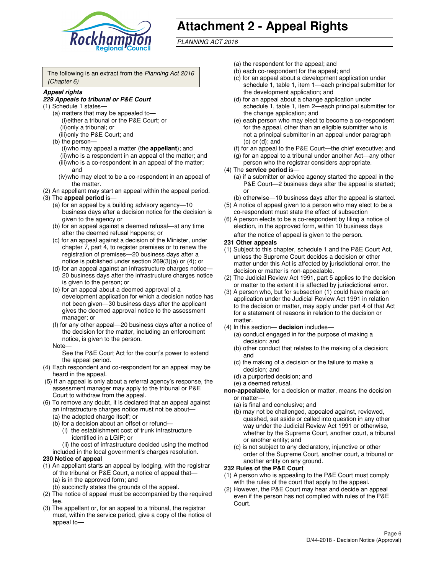

# **Attachment 2 - Appeal Rights**

PLANNING ACT 2016

The following is an extract from the Planning Act 2016 (Chapter 6)

#### **Appeal rights**

#### **229 Appeals to tribunal or P&E Court**

- (1) Schedule 1 states—
	- (a) matters that may be appealed to— (i) either a tribunal or the P&E Court; or (ii) only a tribunal; or (iii) only the P&E Court; and
	- (b) the person—
		- (i) who may appeal a matter (the **appellant**); and
		- (ii) who is a respondent in an appeal of the matter; and (iii) who is a co-respondent in an appeal of the matter; and
		- (iv) who may elect to be a co-respondent in an appeal of the matter.
- (2) An appellant may start an appeal within the appeal period.
- (3) The **appeal period** is—
	- (a) for an appeal by a building advisory agency—10 business days after a decision notice for the decision is given to the agency or
	- (b) for an appeal against a deemed refusal—at any time after the deemed refusal happens; or
	- (c) for an appeal against a decision of the Minister, under chapter 7, part 4, to register premises or to renew the registration of premises—20 business days after a notice is published under section 269(3)(a) or (4); or
	- (d) for an appeal against an infrastructure charges notice— 20 business days after the infrastructure charges notice is given to the person; or
	- (e) for an appeal about a deemed approval of a development application for which a decision notice has not been given—30 business days after the applicant gives the deemed approval notice to the assessment manager; or
	- (f) for any other appeal—20 business days after a notice of the decision for the matter, including an enforcement notice, is given to the person.
	- Note—

See the P&E Court Act for the court's power to extend the appeal period.

- (4) Each respondent and co-respondent for an appeal may be heard in the appeal.
- (5) If an appeal is only about a referral agency's response, the assessment manager may apply to the tribunal or P&E Court to withdraw from the appeal.
- (6) To remove any doubt, it is declared that an appeal against an infrastructure charges notice must not be about—
	- (a) the adopted charge itself; or
	- (b) for a decision about an offset or refund—
		- (i) the establishment cost of trunk infrastructure identified in a LGIP; or

(ii) the cost of infrastructure decided using the method

- included in the local government's charges resolution. **230 Notice of appeal**
- (1) An appellant starts an appeal by lodging, with the registrar of the tribunal or P&E Court, a notice of appeal that—
	- (a) is in the approved form; and
	- (b) succinctly states the grounds of the appeal.
- (2) The notice of appeal must be accompanied by the required fee.
- (3) The appellant or, for an appeal to a tribunal, the registrar must, within the service period, give a copy of the notice of appeal to—
- (a) the respondent for the appeal; and
- (b) each co-respondent for the appeal; and
- (c) for an appeal about a development application under schedule 1, table 1, item 1—each principal submitter for the development application; and
- (d) for an appeal about a change application under schedule 1, table 1, item 2—each principal submitter for the change application; and
- (e) each person who may elect to become a co-respondent for the appeal, other than an eligible submitter who is not a principal submitter in an appeal under paragraph  $(c)$  or  $(d)$ ; and
- (f) for an appeal to the P&E Court—the chief executive; and
- (g) for an appeal to a tribunal under another Act—any other person who the registrar considers appropriate.
- (4) The **service period** is—
	- (a) if a submitter or advice agency started the appeal in the P&E Court—2 business days after the appeal is started; or
	- (b) otherwise—10 business days after the appeal is started.
- (5) A notice of appeal given to a person who may elect to be a co-respondent must state the effect of subsection
- (6) A person elects to be a co-respondent by filing a notice of election, in the approved form, within 10 business days after the notice of appeal is given to the person*.*
- **231 Other appeals**
- (1) Subject to this chapter, schedule 1 and the P&E Court Act, unless the Supreme Court decides a decision or other matter under this Act is affected by jurisdictional error, the decision or matter is non-appealable.
- (2) The Judicial Review Act 1991, part 5 applies to the decision or matter to the extent it is affected by jurisdictional error.
- (3) A person who, but for subsection (1) could have made an application under the Judicial Review Act 1991 in relation to the decision or matter, may apply under part 4 of that Act for a statement of reasons in relation to the decision or matter.
- (4) In this section— **decision** includes—
	- (a) conduct engaged in for the purpose of making a decision; and
	- (b) other conduct that relates to the making of a decision; and
	- (c) the making of a decision or the failure to make a decision; and
	- (d) a purported decision; and
	- (e) a deemed refusal.

**non-appealable**, for a decision or matter, means the decision or matter—

- (a) is final and conclusive; and
- (b) may not be challenged, appealed against, reviewed, quashed, set aside or called into question in any other way under the Judicial Review Act 1991 or otherwise, whether by the Supreme Court, another court, a tribunal or another entity; and
- (c) is not subject to any declaratory, injunctive or other order of the Supreme Court, another court, a tribunal or another entity on any ground.

#### **232 Rules of the P&E Court**

- (1) A person who is appealing to the P&E Court must comply with the rules of the court that apply to the appeal.
- (2) However, the P&E Court may hear and decide an appeal even if the person has not complied with rules of the P&E Court.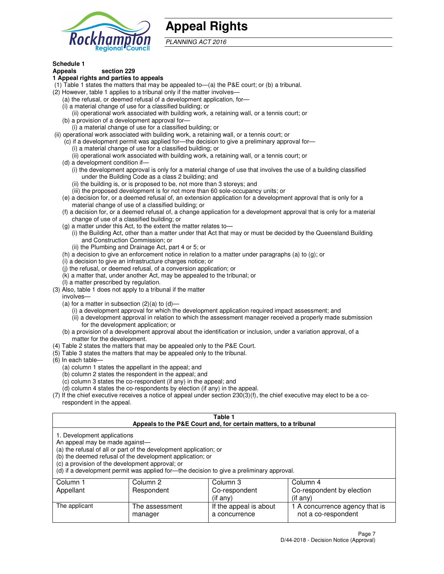

# **Appeal Rights**

PLANNING ACT 2016

# **Schedule 1**

# **Appeals section 229**

#### **1 Appeal rights and parties to appeals**

- (1) Table 1 states the matters that may be appealed to—(a) the P&E court; or (b) a tribunal.
- (2) However, table 1 applies to a tribunal only if the matter involves—
	- (a) the refusal, or deemed refusal of a development application, for—
	- (i) a material change of use for a classified building; or
	- (ii) operational work associated with building work, a retaining wall, or a tennis court; or
	- (b) a provision of a development approval for—
	- (i) a material change of use for a classified building; or
- (ii) operational work associated with building work, a retaining wall, or a tennis court; or
	- (c) if a development permit was applied for—the decision to give a preliminary approval for—
		- (i) a material change of use for a classified building; or
		- (ii) operational work associated with building work, a retaining wall, or a tennis court; or
	- (d) a development condition if—
		- (i) the development approval is only for a material change of use that involves the use of a building classified under the Building Code as a class 2 building; and
		- (ii) the building is, or is proposed to be, not more than 3 storeys; and
		- (iii) the proposed development is for not more than 60 sole-occupancy units; or
	- (e) a decision for, or a deemed refusal of, an extension application for a development approval that is only for a material change of use of a classified building; or
	- (f) a decision for, or a deemed refusal of, a change application for a development approval that is only for a material change of use of a classified building; or
	- (g) a matter under this Act, to the extent the matter relates to—
		- (i) the Building Act, other than a matter under that Act that may or must be decided by the Queensland Building and Construction Commission; or
		- (ii) the Plumbing and Drainage Act, part 4 or 5; or
	- (h) a decision to give an enforcement notice in relation to a matter under paragraphs (a) to (g); or
	- (i) a decision to give an infrastructure charges notice; or
	- (j) the refusal, or deemed refusal, of a conversion application; or
	- (k) a matter that, under another Act, may be appealed to the tribunal; or
	- (l) a matter prescribed by regulation.
- (3) Also, table 1 does not apply to a tribunal if the matter
	- involves—
	- (a) for a matter in subsection  $(2)(a)$  to  $(d)$ 
		- (i) a development approval for which the development application required impact assessment; and
		- (ii) a development approval in relation to which the assessment manager received a properly made submission for the development application; or
	- (b) a provision of a development approval about the identification or inclusion, under a variation approval, of a matter for the development.
- (4) Table 2 states the matters that may be appealed only to the P&E Court.
- (5) Table 3 states the matters that may be appealed only to the tribunal.
- (6) In each table—
	- (a) column 1 states the appellant in the appeal; and
	- (b) column 2 states the respondent in the appeal; and
	- (c) column 3 states the co-respondent (if any) in the appeal; and
	- (d) column 4 states the co-respondents by election (if any) in the appeal.
- (7) If the chief executive receives a notice of appeal under section 230(3)(f), the chief executive may elect to be a corespondent in the appeal.

| Table 1<br>Appeals to the P&E Court and, for certain matters, to a tribunal                                      |                                                                                                                                |                                                                                          |                                                       |  |
|------------------------------------------------------------------------------------------------------------------|--------------------------------------------------------------------------------------------------------------------------------|------------------------------------------------------------------------------------------|-------------------------------------------------------|--|
| 1. Development applications<br>An appeal may be made against-<br>(c) a provision of the development approval; or | (a) the refusal of all or part of the development application; or<br>(b) the deemed refusal of the development application; or | (d) if a development permit was applied for-the decision to give a preliminary approval. |                                                       |  |
| Column 1                                                                                                         | Column 2                                                                                                                       | Column 3                                                                                 | Column 4                                              |  |
| Appellant                                                                                                        | Respondent                                                                                                                     | Co-respondent                                                                            | Co-respondent by election                             |  |
| $($ if any $)$<br>$($ if any $)$                                                                                 |                                                                                                                                |                                                                                          |                                                       |  |
| The applicant                                                                                                    | The assessment<br>manager                                                                                                      | If the appeal is about<br>a concurrence                                                  | 1 A concurrence agency that is<br>not a co-respondent |  |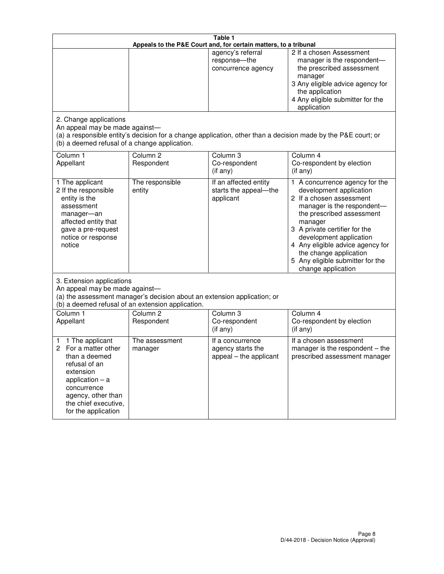| Table 1<br>Appeals to the P&E Court and, for certain matters, to a tribunal                                                                                                                             |                                                                                                                               |                                                                 |                                                                                                                                                                                                                                                                                                                                                 |  |
|---------------------------------------------------------------------------------------------------------------------------------------------------------------------------------------------------------|-------------------------------------------------------------------------------------------------------------------------------|-----------------------------------------------------------------|-------------------------------------------------------------------------------------------------------------------------------------------------------------------------------------------------------------------------------------------------------------------------------------------------------------------------------------------------|--|
| 2. Change applications                                                                                                                                                                                  |                                                                                                                               | agency's referral<br>response-the<br>concurrence agency         | 2 If a chosen Assessment<br>manager is the respondent-<br>the prescribed assessment<br>manager<br>3 Any eligible advice agency for<br>the application<br>4 Any eligible submitter for the<br>application                                                                                                                                        |  |
| An appeal may be made against-<br>(b) a deemed refusal of a change application.                                                                                                                         |                                                                                                                               |                                                                 | (a) a responsible entity's decision for a change application, other than a decision made by the P&E court; or                                                                                                                                                                                                                                   |  |
| Column 1<br>Appellant                                                                                                                                                                                   | Column <sub>2</sub><br>Respondent                                                                                             | Column <sub>3</sub><br>Co-respondent<br>(if any)                | Column 4<br>Co-respondent by election<br>(if any)                                                                                                                                                                                                                                                                                               |  |
| 1 The applicant<br>2 If the responsible<br>entity is the<br>assessment<br>manager-an<br>affected entity that<br>gave a pre-request<br>notice or response<br>notice                                      | The responsible<br>entity                                                                                                     | If an affected entity<br>starts the appeal-the<br>applicant     | 1 A concurrence agency for the<br>development application<br>2 If a chosen assessment<br>manager is the respondent-<br>the prescribed assessment<br>manager<br>3 A private certifier for the<br>development application<br>4 Any eligible advice agency for<br>the change application<br>5 Any eligible submitter for the<br>change application |  |
| 3. Extension applications<br>An appeal may be made against-                                                                                                                                             | (a) the assessment manager's decision about an extension application; or<br>(b) a deemed refusal of an extension application. |                                                                 |                                                                                                                                                                                                                                                                                                                                                 |  |
| Column 1<br>Appellant                                                                                                                                                                                   | Column <sub>2</sub><br>Respondent                                                                                             | Column <sub>3</sub><br>Co-respondent<br>(if any)                | Column 4<br>Co-respondent by election<br>(if any)                                                                                                                                                                                                                                                                                               |  |
| 1 The applicant<br>1<br>For a matter other<br>2<br>than a deemed<br>refusal of an<br>extension<br>application $-$ a<br>concurrence<br>agency, other than<br>the chief executive,<br>for the application | The assessment<br>manager                                                                                                     | If a concurrence<br>agency starts the<br>appeal - the applicant | If a chosen assessment<br>manager is the respondent $-$ the<br>prescribed assessment manager                                                                                                                                                                                                                                                    |  |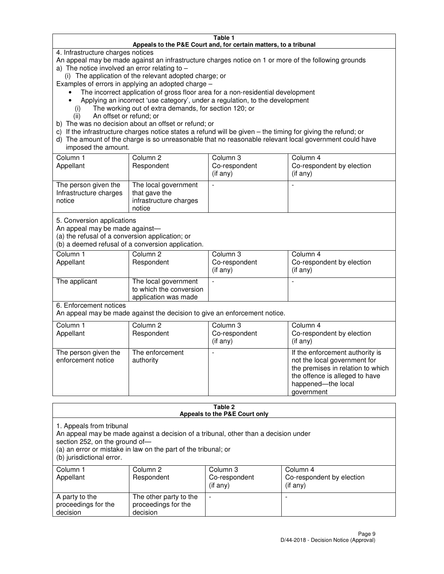#### **Table 1 Appeals to the P&E Court and, for certain matters, to a tribunal**

4. Infrastructure charges notices

An appeal may be made against an infrastructure charges notice on 1 or more of the following grounds

- a) The notice involved an error relating to
	- (i) The application of the relevant adopted charge; or

Examples of errors in applying an adopted charge –

- The incorrect application of gross floor area for a non-residential development
- Applying an incorrect 'use category', under a regulation, to the development
	- (i) The working out of extra demands, for section 120; or
	- (ii) An offset or refund; or
- b) The was no decision about an offset or refund; or
- c) If the infrastructure charges notice states a refund will be given the timing for giving the refund; or
- d) The amount of the charge is so unreasonable that no reasonable relevant local government could have imposed the amount.

| Column 1<br>Appellant                                    | Column 2<br>Respondent                                                    | Column 3<br>Co-respondent<br>$($ if any $)$ | Column 4<br>Co-respondent by election<br>$($ if any $)$ |
|----------------------------------------------------------|---------------------------------------------------------------------------|---------------------------------------------|---------------------------------------------------------|
| The person given the<br>Infrastructure charges<br>notice | The local government<br>that gave the<br>infrastructure charges<br>notice |                                             |                                                         |

5. Conversion applications

An appeal may be made against—

(a) the refusal of a conversion application; or

(b) a deemed refusal of a conversion application.

| Column 1<br>Appellant | Column 2<br>Respondent                                                  | Column 3<br>Co-respondent<br>$($ if any $)$ | Column 4<br>Co-respondent by election<br>$($ if any $)$ |
|-----------------------|-------------------------------------------------------------------------|---------------------------------------------|---------------------------------------------------------|
| The applicant         | The local government<br>to which the conversion<br>application was made |                                             |                                                         |

6. Enforcement notices

An appeal may be made against the decision to give an enforcement notice.

| Column 1<br>Appellant                      | Column 2<br>Respondent       | Column 3<br>Co-respondent<br>$($ if any $)$ | Column 4<br>Co-respondent by election<br>(if any)                                                                                                                          |
|--------------------------------------------|------------------------------|---------------------------------------------|----------------------------------------------------------------------------------------------------------------------------------------------------------------------------|
| The person given the<br>enforcement notice | The enforcement<br>authority |                                             | If the enforcement authority is<br>not the local government for<br>the premises in relation to which<br>the offence is alleged to have<br>happened-the local<br>government |

#### **Table 2 Appeals to the P&E Court only**

1. Appeals from tribunal

An appeal may be made against a decision of a tribunal, other than a decision under

section 252, on the ground of—

(a) an error or mistake in law on the part of the tribunal; or

(b) jurisdictional error.

| Column 1<br>Appellant                             | Column 2<br>Respondent                                    | Column 3<br>Co-respondent<br>$($ if any $)$ | Column 4<br>Co-respondent by election<br>(i f any) |
|---------------------------------------------------|-----------------------------------------------------------|---------------------------------------------|----------------------------------------------------|
| A party to the<br>proceedings for the<br>decision | The other party to the<br>proceedings for the<br>decision | -                                           |                                                    |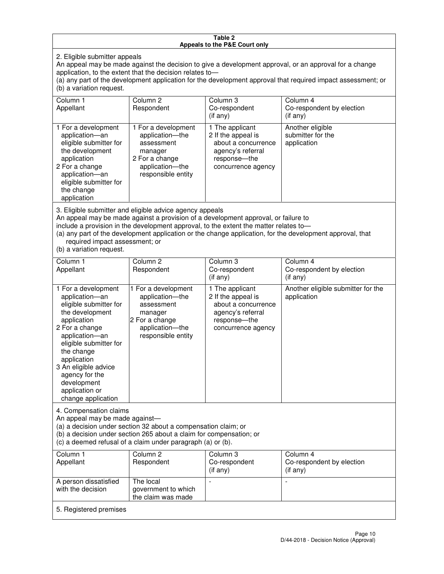#### **Table 2 Appeals to the P&E Court only**

2. Eligible submitter appeals

An appeal may be made against the decision to give a development approval, or an approval for a change application, to the extent that the decision relates to—

(a) any part of the development application for the development approval that required impact assessment; or (b) a variation request.

| Column 1<br>Appellant                                                                                                                                                                                                                                                                                                                                                                                              | Column <sub>2</sub><br>Respondent                                                                                          | Column 3<br>Co-respondent<br>$(i$ f any)                                                                                | Column 4<br>Co-respondent by election<br>(i f an <i>v</i> ) |
|--------------------------------------------------------------------------------------------------------------------------------------------------------------------------------------------------------------------------------------------------------------------------------------------------------------------------------------------------------------------------------------------------------------------|----------------------------------------------------------------------------------------------------------------------------|-------------------------------------------------------------------------------------------------------------------------|-------------------------------------------------------------|
| 1 For a development<br>application-an<br>eligible submitter for<br>the development<br>application<br>2 For a change<br>application-an<br>eligible submitter for<br>the change<br>application                                                                                                                                                                                                                       | 1 For a development<br>application-the<br>assessment<br>manager<br>2 For a change<br>application-the<br>responsible entity | 1 The applicant<br>2 If the appeal is<br>about a concurrence<br>agency's referral<br>response-the<br>concurrence agency | Another eligible<br>submitter for the<br>application        |
| 3. Eligible submitter and eligible advice agency appeals<br>An appeal may be made against a provision of a development approval, or failure to<br>include a provision in the development approval, to the extent the matter relates to-<br>(a) any part of the development application or the change application, for the development approval, that<br>required impact assessment; or<br>(b) a variation request. |                                                                                                                            |                                                                                                                         |                                                             |
| Column 1<br>Appellant                                                                                                                                                                                                                                                                                                                                                                                              | Column <sub>2</sub><br>Respondent                                                                                          | Column 3<br>Co-respondent<br>(if any)                                                                                   | Column 4<br>Co-respondent by election<br>$(if$ any)         |
| 1 For a development<br>application-an<br>eligible submitter for<br>the development<br>application                                                                                                                                                                                                                                                                                                                  | 1 For a development<br>application-the<br>assessment<br>manager<br>2 For a change                                          | 1 The applicant<br>2 If the appeal is<br>about a concurrence<br>agency's referral<br>response---the                     | Another eligible submitter for the<br>application           |

concurrence agency

4. Compensation claims An appeal may be made against—

2 For a change application—an eligible submitter for

the change application 3 An eligible advice agency for the development application or change application

(a) a decision under section 32 about a compensation claim; or

(b) a decision under section 265 about a claim for compensation; or

application—the responsible entity

(c) a deemed refusal of a claim under paragraph (a) or (b).

| Column 1<br>Appellant                      | Column 2<br>Respondent                                 | Column 3<br>Co-respondent<br>(if any) | Column 4<br>Co-respondent by election<br>$($ if any $)$ |
|--------------------------------------------|--------------------------------------------------------|---------------------------------------|---------------------------------------------------------|
| A person dissatisfied<br>with the decision | The local<br>government to which<br>the claim was made | -                                     |                                                         |
| 5. Registered premises                     |                                                        |                                       |                                                         |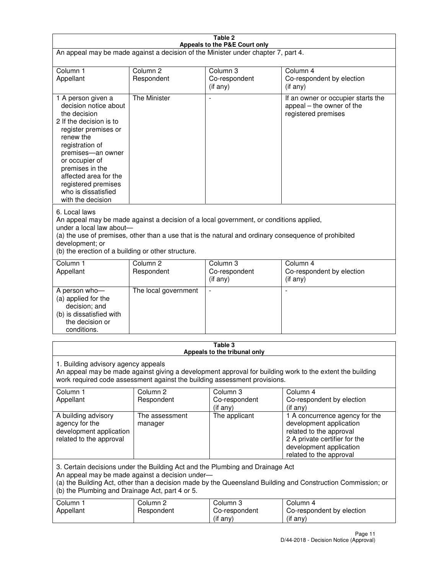| Table 2                                                                                                                                                                                                                                                                                                              |                                   |                                         |                                                                                                                                                                             |  |
|----------------------------------------------------------------------------------------------------------------------------------------------------------------------------------------------------------------------------------------------------------------------------------------------------------------------|-----------------------------------|-----------------------------------------|-----------------------------------------------------------------------------------------------------------------------------------------------------------------------------|--|
| Appeals to the P&E Court only<br>An appeal may be made against a decision of the Minister under chapter 7, part 4.                                                                                                                                                                                                   |                                   |                                         |                                                                                                                                                                             |  |
| Column 1                                                                                                                                                                                                                                                                                                             | Column <sub>2</sub>               | Column <sub>3</sub>                     | Column 4                                                                                                                                                                    |  |
| Appellant                                                                                                                                                                                                                                                                                                            | Respondent                        | Co-respondent<br>(if any)               | Co-respondent by election<br>(if any)                                                                                                                                       |  |
| 1 A person given a<br>decision notice about<br>the decision<br>2 If the decision is to<br>register premises or<br>renew the<br>registration of<br>premises-an owner<br>or occupier of<br>premises in the<br>affected area for the<br>registered premises<br>who is dissatisfied<br>with the decision                 | <b>The Minister</b>               | ÷,                                      | If an owner or occupier starts the<br>appeal – the owner of the<br>registered premises                                                                                      |  |
| 6. Local laws<br>An appeal may be made against a decision of a local government, or conditions applied,<br>under a local law about-<br>(a) the use of premises, other than a use that is the natural and ordinary consequence of prohibited<br>development; or<br>(b) the erection of a building or other structure. |                                   |                                         |                                                                                                                                                                             |  |
| Column 1<br>Appellant                                                                                                                                                                                                                                                                                                | Column 2<br>Respondent            | Column 3<br>Co-respondent<br>(if any)   | Column 4<br>Co-respondent by election<br>(if any)                                                                                                                           |  |
| A person who-<br>(a) applied for the<br>decision; and<br>(b) is dissatisfied with<br>the decision or<br>conditions.                                                                                                                                                                                                  | The local government              |                                         |                                                                                                                                                                             |  |
|                                                                                                                                                                                                                                                                                                                      |                                   | Table 3<br>Appeals to the tribunal only |                                                                                                                                                                             |  |
| 1. Building advisory agency appeals<br>An appeal may be made against giving a development approval for building work to the extent the building<br>work required code assessment against the building assessment provisions.                                                                                         |                                   |                                         |                                                                                                                                                                             |  |
| Column 1<br>Appellant                                                                                                                                                                                                                                                                                                | Column <sub>2</sub><br>Respondent | Column 3<br>Co-respondent<br>(if any)   | Column 4<br>Co-respondent by election<br>(if any)                                                                                                                           |  |
| A building advisory<br>agency for the<br>development application<br>related to the approval                                                                                                                                                                                                                          | The assessment<br>manager         | The applicant                           | 1 A concurrence agency for the<br>development application<br>related to the approval<br>2 A private certifier for the<br>development application<br>related to the approval |  |
| 3. Certain decisions under the Building Act and the Plumbing and Drainage Act<br>An appeal may be made against a decision under-<br>(a) the Building Act, other than a decision made by the Queensland Building and Construction Commission; or<br>(b) the Plumbing and Drainage Act, part 4 or 5.                   |                                   |                                         |                                                                                                                                                                             |  |
| Column 1<br>Appellant                                                                                                                                                                                                                                                                                                | Column <sub>2</sub><br>Respondent | Column 3<br>Co-respondent<br>(if any)   | Column 4<br>Co-respondent by election<br>(if any)                                                                                                                           |  |